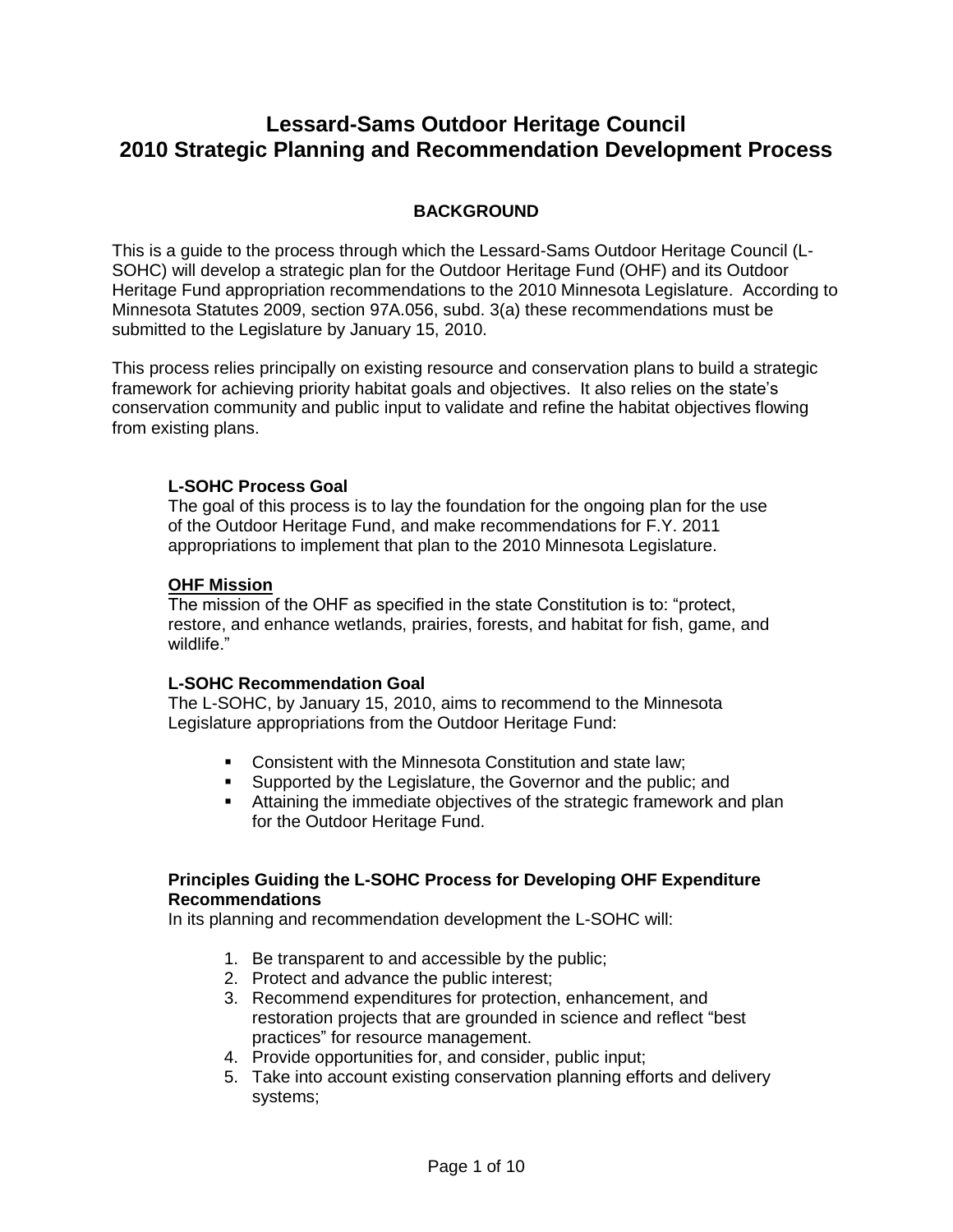# **Lessard-Sams Outdoor Heritage Council 2010 Strategic Planning and Recommendation Development Process**

## **BACKGROUND**

This is a guide to the process through which the Lessard-Sams Outdoor Heritage Council (L-SOHC) will develop a strategic plan for the Outdoor Heritage Fund (OHF) and its Outdoor Heritage Fund appropriation recommendations to the 2010 Minnesota Legislature. According to Minnesota Statutes 2009, section 97A.056, subd. 3(a) these recommendations must be submitted to the Legislature by January 15, 2010.

This process relies principally on existing resource and conservation plans to build a strategic framework for achieving priority habitat goals and objectives. It also relies on the state's conservation community and public input to validate and refine the habitat objectives flowing from existing plans.

## **L-SOHC Process Goal**

The goal of this process is to lay the foundation for the ongoing plan for the use of the Outdoor Heritage Fund, and make recommendations for F.Y. 2011 appropriations to implement that plan to the 2010 Minnesota Legislature.

#### **OHF Mission**

The mission of the OHF as specified in the state Constitution is to: "protect, restore, and enhance wetlands, prairies, forests, and habitat for fish, game, and wildlife."

#### **L-SOHC Recommendation Goal**

The L-SOHC, by January 15, 2010, aims to recommend to the Minnesota Legislature appropriations from the Outdoor Heritage Fund:

- **EXECONS** Consistent with the Minnesota Constitution and state law:
- **Supported by the Legislature, the Governor and the public; and**
- **Attaining the immediate objectives of the strategic framework and plan** for the Outdoor Heritage Fund.

### **Principles Guiding the L-SOHC Process for Developing OHF Expenditure Recommendations**

In its planning and recommendation development the L-SOHC will:

- 1. Be transparent to and accessible by the public;
- 2. Protect and advance the public interest;
- 3. Recommend expenditures for protection, enhancement, and restoration projects that are grounded in science and reflect "best practices" for resource management.
- 4. Provide opportunities for, and consider, public input;
- 5. Take into account existing conservation planning efforts and delivery systems;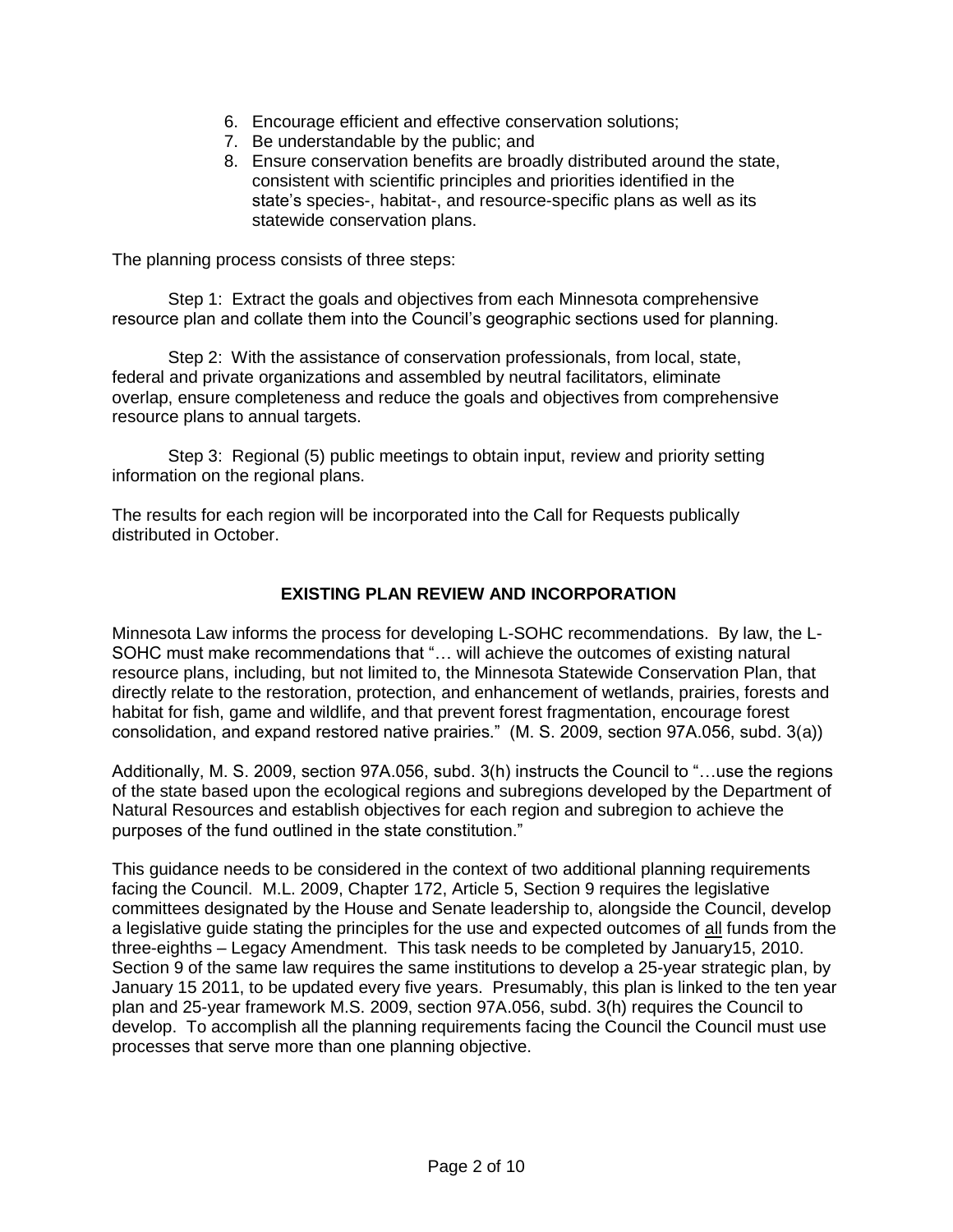- 6. Encourage efficient and effective conservation solutions;
- 7. Be understandable by the public; and
- 8. Ensure conservation benefits are broadly distributed around the state, consistent with scientific principles and priorities identified in the state's species-, habitat-, and resource-specific plans as well as its statewide conservation plans.

The planning process consists of three steps:

Step 1: Extract the goals and objectives from each Minnesota comprehensive resource plan and collate them into the Council's geographic sections used for planning.

Step 2: With the assistance of conservation professionals, from local, state, federal and private organizations and assembled by neutral facilitators, eliminate overlap, ensure completeness and reduce the goals and objectives from comprehensive resource plans to annual targets.

Step 3: Regional (5) public meetings to obtain input, review and priority setting information on the regional plans.

The results for each region will be incorporated into the Call for Requests publically distributed in October.

## **EXISTING PLAN REVIEW AND INCORPORATION**

Minnesota Law informs the process for developing L-SOHC recommendations. By law, the L-SOHC must make recommendations that "… will achieve the outcomes of existing natural resource plans, including, but not limited to, the Minnesota Statewide Conservation Plan, that directly relate to the restoration, protection, and enhancement of wetlands, prairies, forests and habitat for fish, game and wildlife, and that prevent forest fragmentation, encourage forest consolidation, and expand restored native prairies." (M. S. 2009, section 97A.056, subd. 3(a))

Additionally, M. S. 2009, section 97A.056, subd. 3(h) instructs the Council to "…use the regions of the state based upon the ecological regions and subregions developed by the Department of Natural Resources and establish objectives for each region and subregion to achieve the purposes of the fund outlined in the state constitution."

This guidance needs to be considered in the context of two additional planning requirements facing the Council. M.L. 2009, Chapter 172, Article 5, Section 9 requires the legislative committees designated by the House and Senate leadership to, alongside the Council, develop a legislative guide stating the principles for the use and expected outcomes of all funds from the three-eighths – Legacy Amendment. This task needs to be completed by January15, 2010. Section 9 of the same law requires the same institutions to develop a 25-year strategic plan, by January 15 2011, to be updated every five years. Presumably, this plan is linked to the ten year plan and 25-year framework M.S. 2009, section 97A.056, subd. 3(h) requires the Council to develop. To accomplish all the planning requirements facing the Council the Council must use processes that serve more than one planning objective.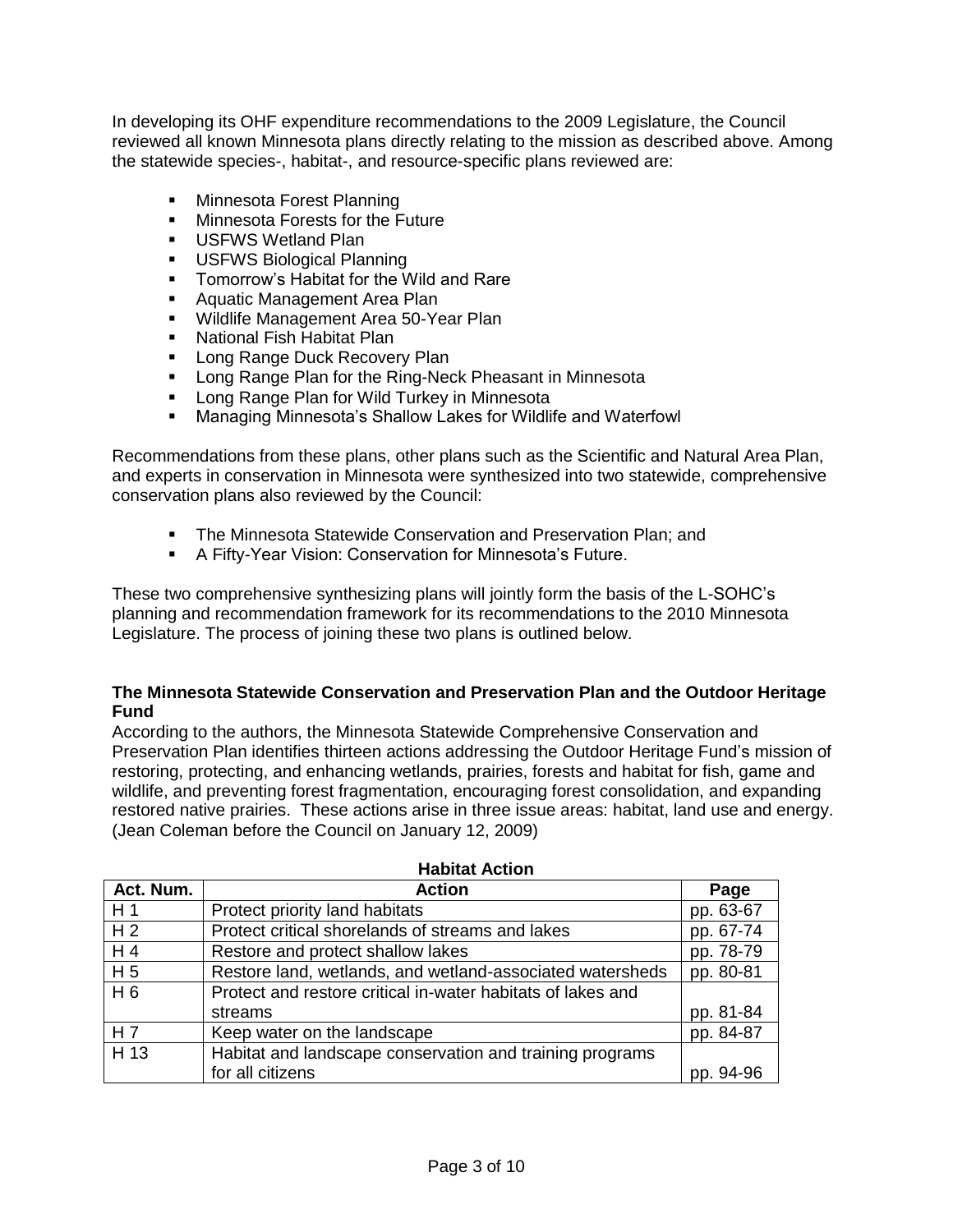In developing its OHF expenditure recommendations to the 2009 Legislature, the Council reviewed all known Minnesota plans directly relating to the mission as described above. Among the statewide species-, habitat-, and resource-specific plans reviewed are:

- Minnesota Forest Planning
- **Minnesota Forests for the Future**
- **USFWS Wetland Plan**
- **USFWS Biological Planning**
- **Tomorrow's Habitat for the Wild and Rare**
- **Aquatic Management Area Plan**
- **Wildlife Management Area 50-Year Plan**
- **National Fish Habitat Plan**
- **Long Range Duck Recovery Plan**
- **EXECT** Long Range Plan for the Ring-Neck Pheasant in Minnesota
- **EXEDENT PLAN** For Wild Turkey in Minnesota
- Managing Minnesota's Shallow Lakes for Wildlife and Waterfowl

Recommendations from these plans, other plans such as the Scientific and Natural Area Plan, and experts in conservation in Minnesota were synthesized into two statewide, comprehensive conservation plans also reviewed by the Council:

- **The Minnesota Statewide Conservation and Preservation Plan; and**
- A Fifty-Year Vision: Conservation for Minnesota's Future.

These two comprehensive synthesizing plans will jointly form the basis of the L-SOHC's planning and recommendation framework for its recommendations to the 2010 Minnesota Legislature. The process of joining these two plans is outlined below.

#### **The Minnesota Statewide Conservation and Preservation Plan and the Outdoor Heritage Fund**

According to the authors, the Minnesota Statewide Comprehensive Conservation and Preservation Plan identifies thirteen actions addressing the Outdoor Heritage Fund's mission of restoring, protecting, and enhancing wetlands, prairies, forests and habitat for fish, game and wildlife, and preventing forest fragmentation, encouraging forest consolidation, and expanding restored native prairies. These actions arise in three issue areas: habitat, land use and energy. (Jean Coleman before the Council on January 12, 2009)

| Act. Num.      | <b>Action</b>                                               | Page      |
|----------------|-------------------------------------------------------------|-----------|
| H1             | Protect priority land habitats                              | pp. 63-67 |
| H <sub>2</sub> | Protect critical shorelands of streams and lakes            | pp. 67-74 |
| H4             | Restore and protect shallow lakes                           | pp. 78-79 |
| H <sub>5</sub> | Restore land, wetlands, and wetland-associated watersheds   | pp. 80-81 |
| H6             | Protect and restore critical in-water habitats of lakes and |           |
|                | streams                                                     | pp. 81-84 |
| H 7            | Keep water on the landscape                                 | pp. 84-87 |
| H 13           | Habitat and landscape conservation and training programs    |           |
|                | for all citizens                                            | pp. 94-96 |

#### **Habitat Action**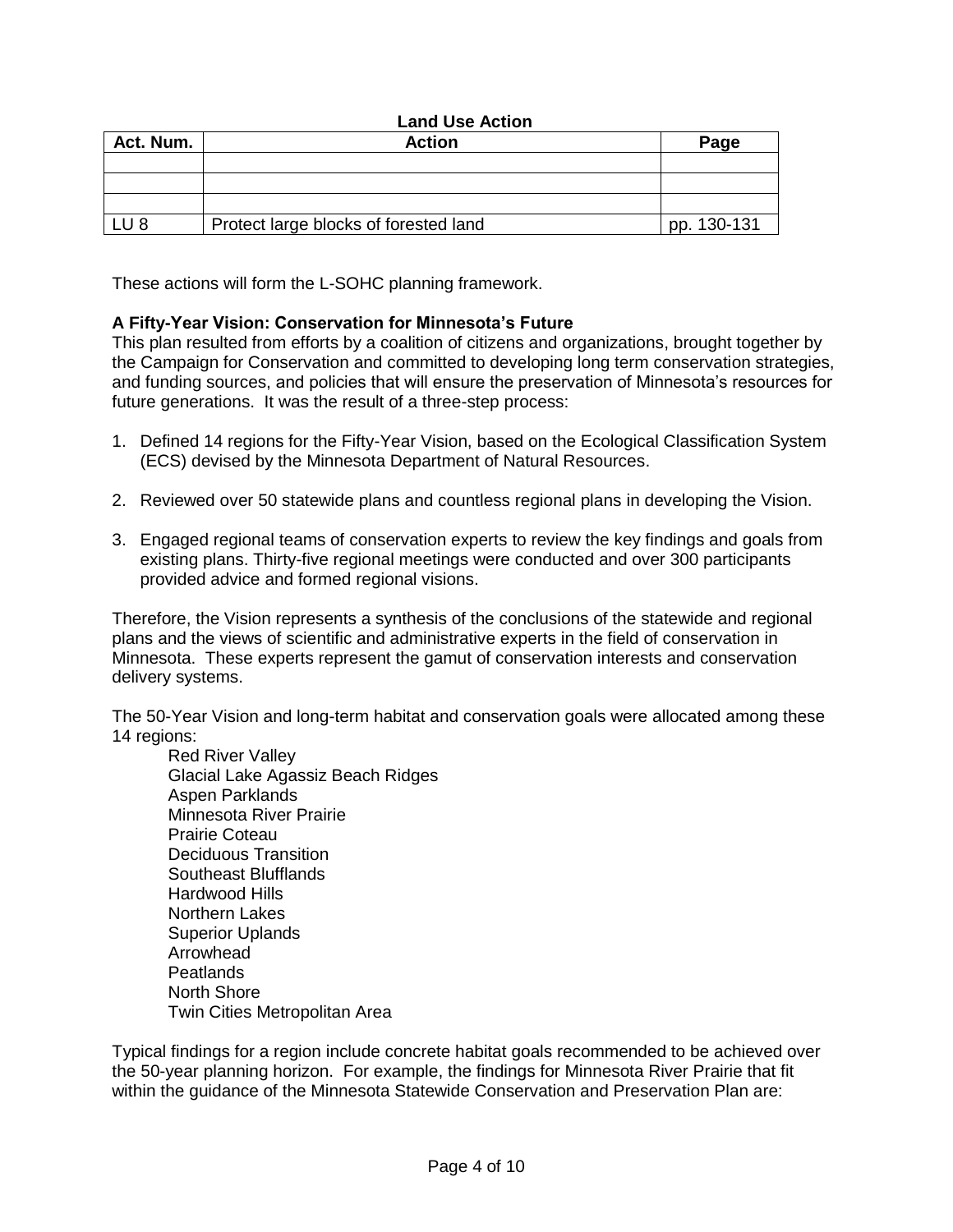### **Land Use Action**

| Act. Num.  | <b>Action</b>                         | Page        |
|------------|---------------------------------------|-------------|
|            |                                       |             |
|            |                                       |             |
|            |                                       |             |
| <b>LU8</b> | Protect large blocks of forested land | pp. 130-131 |

These actions will form the L-SOHC planning framework.

### **A Fifty-Year Vision: Conservation for Minnesota's Future**

This plan resulted from efforts by a coalition of citizens and organizations, brought together by the Campaign for Conservation and committed to developing long term conservation strategies, and funding sources, and policies that will ensure the preservation of Minnesota's resources for future generations. It was the result of a three-step process:

- 1. Defined 14 regions for the Fifty-Year Vision, based on the Ecological Classification System (ECS) devised by the Minnesota Department of Natural Resources.
- 2. Reviewed over 50 statewide plans and countless regional plans in developing the Vision.
- 3. Engaged regional teams of conservation experts to review the key findings and goals from existing plans. Thirty-five regional meetings were conducted and over 300 participants provided advice and formed regional visions.

Therefore, the Vision represents a synthesis of the conclusions of the statewide and regional plans and the views of scientific and administrative experts in the field of conservation in Minnesota. These experts represent the gamut of conservation interests and conservation delivery systems.

The 50-Year Vision and long-term habitat and conservation goals were allocated among these 14 regions:

Red River Valley Glacial Lake Agassiz Beach Ridges Aspen Parklands Minnesota River Prairie Prairie Coteau Deciduous Transition Southeast Blufflands Hardwood Hills Northern Lakes Superior Uplands Arrowhead Peatlands North Shore Twin Cities Metropolitan Area

Typical findings for a region include concrete habitat goals recommended to be achieved over the 50-year planning horizon. For example, the findings for Minnesota River Prairie that fit within the guidance of the Minnesota Statewide Conservation and Preservation Plan are: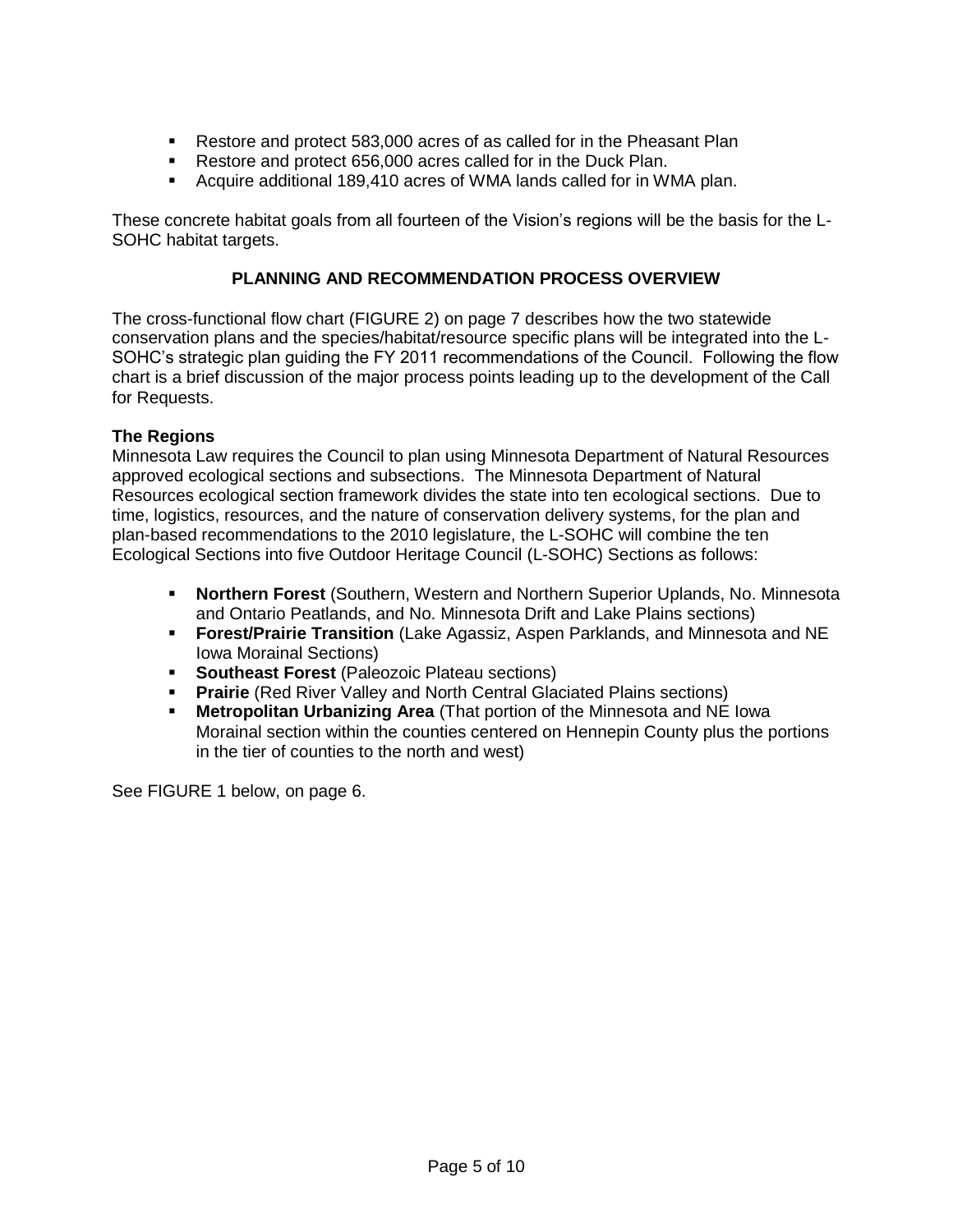- Restore and protect 583,000 acres of as called for in the Pheasant Plan
- Restore and protect 656,000 acres called for in the Duck Plan.
- Acquire additional 189,410 acres of WMA lands called for in WMA plan.

These concrete habitat goals from all fourteen of the Vision's regions will be the basis for the L-SOHC habitat targets.

## **PLANNING AND RECOMMENDATION PROCESS OVERVIEW**

The cross-functional flow chart (FIGURE 2) on page 7 describes how the two statewide conservation plans and the species/habitat/resource specific plans will be integrated into the L-SOHC's strategic plan guiding the FY 2011 recommendations of the Council. Following the flow chart is a brief discussion of the major process points leading up to the development of the Call for Requests.

## **The Regions**

Minnesota Law requires the Council to plan using Minnesota Department of Natural Resources approved ecological sections and subsections. The Minnesota Department of Natural Resources ecological section framework divides the state into ten ecological sections. Due to time, logistics, resources, and the nature of conservation delivery systems, for the plan and plan-based recommendations to the 2010 legislature, the L-SOHC will combine the ten Ecological Sections into five Outdoor Heritage Council (L-SOHC) Sections as follows:

- **Northern Forest** (Southern, Western and Northern Superior Uplands, No. Minnesota and Ontario Peatlands, and No. Minnesota Drift and Lake Plains sections)
- **Forest/Prairie Transition** (Lake Agassiz, Aspen Parklands, and Minnesota and NE Iowa Morainal Sections)
- **Southeast Forest** (Paleozoic Plateau sections)
- **Prairie** (Red River Valley and North Central Glaciated Plains sections)
- **Metropolitan Urbanizing Area** (That portion of the Minnesota and NE Iowa Morainal section within the counties centered on Hennepin County plus the portions in the tier of counties to the north and west)

See FIGURE 1 below, on page 6.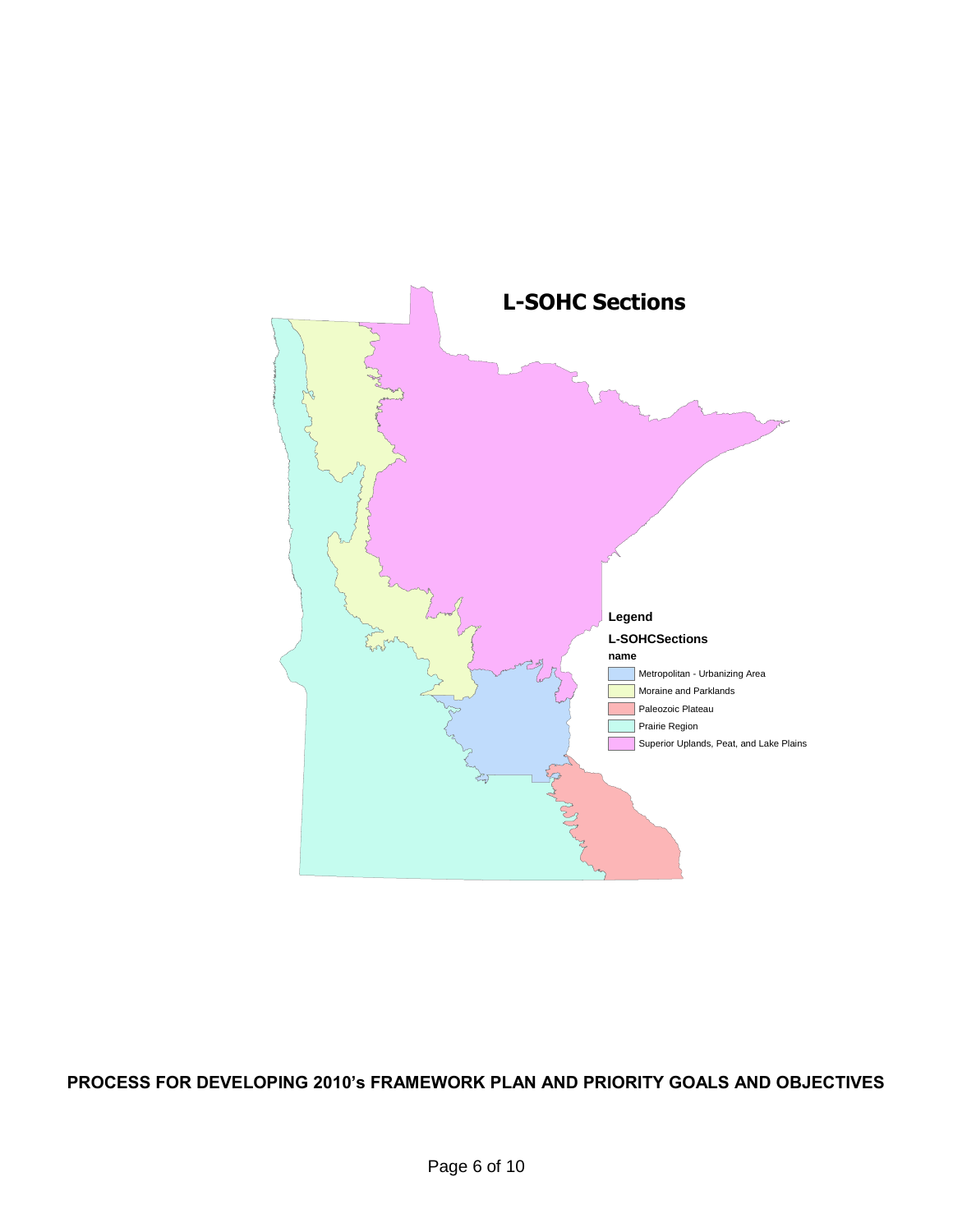

**PROCESS FOR DEVELOPING 2010's FRAMEWORK PLAN AND PRIORITY GOALS AND OBJECTIVES**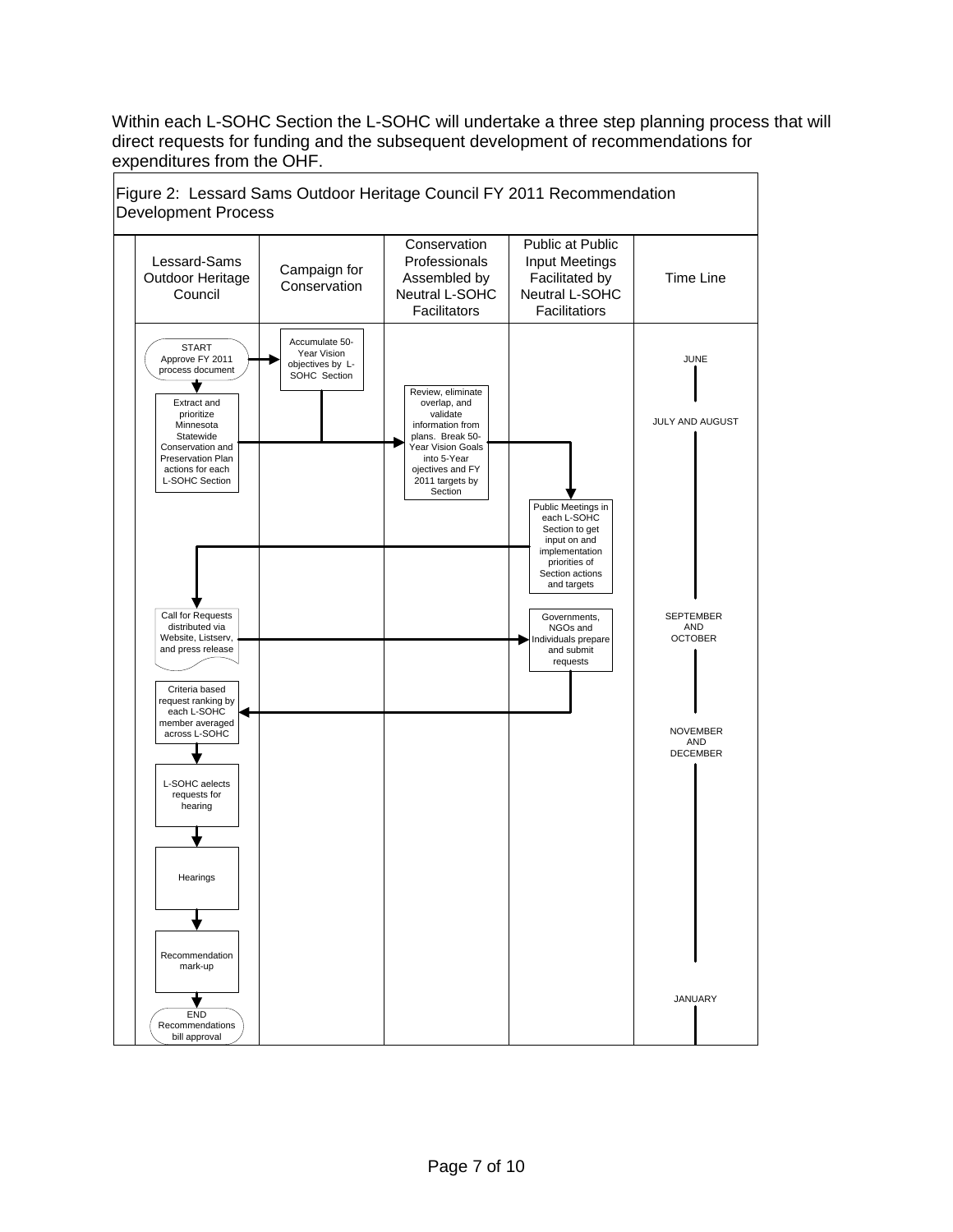Within each L-SOHC Section the L-SOHC will undertake a three step planning process that will direct requests for funding and the subsequent development of recommendations for expenditures from the OHF.

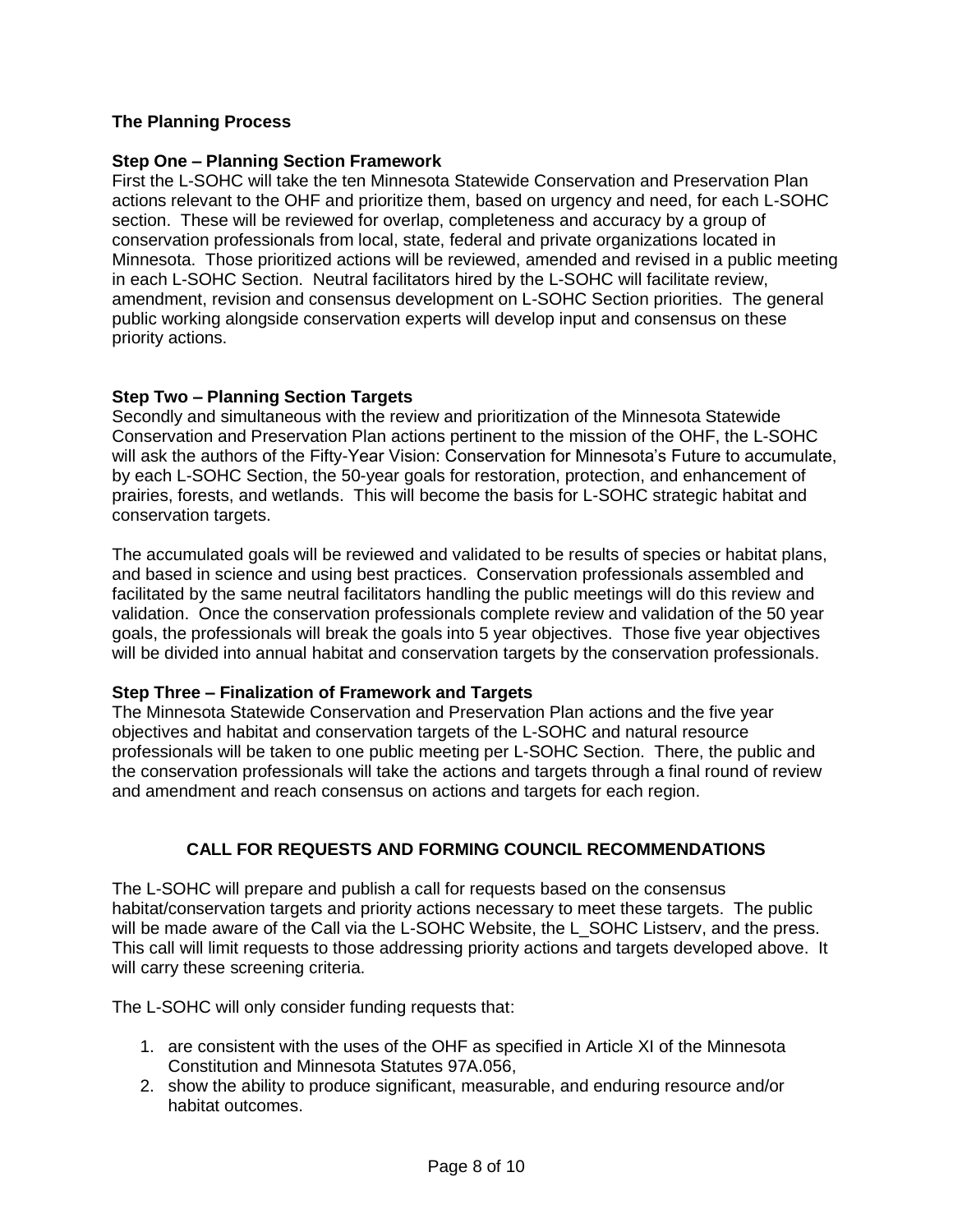## **The Planning Process**

## **Step One – Planning Section Framework**

First the L-SOHC will take the ten Minnesota Statewide Conservation and Preservation Plan actions relevant to the OHF and prioritize them, based on urgency and need, for each L-SOHC section. These will be reviewed for overlap, completeness and accuracy by a group of conservation professionals from local, state, federal and private organizations located in Minnesota. Those prioritized actions will be reviewed, amended and revised in a public meeting in each L-SOHC Section. Neutral facilitators hired by the L-SOHC will facilitate review, amendment, revision and consensus development on L-SOHC Section priorities. The general public working alongside conservation experts will develop input and consensus on these priority actions.

### **Step Two – Planning Section Targets**

Secondly and simultaneous with the review and prioritization of the Minnesota Statewide Conservation and Preservation Plan actions pertinent to the mission of the OHF, the L-SOHC will ask the authors of the Fifty-Year Vision: Conservation for Minnesota's Future to accumulate, by each L-SOHC Section, the 50-year goals for restoration, protection, and enhancement of prairies, forests, and wetlands. This will become the basis for L-SOHC strategic habitat and conservation targets.

The accumulated goals will be reviewed and validated to be results of species or habitat plans, and based in science and using best practices. Conservation professionals assembled and facilitated by the same neutral facilitators handling the public meetings will do this review and validation. Once the conservation professionals complete review and validation of the 50 year goals, the professionals will break the goals into 5 year objectives. Those five year objectives will be divided into annual habitat and conservation targets by the conservation professionals.

## **Step Three – Finalization of Framework and Targets**

The Minnesota Statewide Conservation and Preservation Plan actions and the five year objectives and habitat and conservation targets of the L-SOHC and natural resource professionals will be taken to one public meeting per L-SOHC Section. There, the public and the conservation professionals will take the actions and targets through a final round of review and amendment and reach consensus on actions and targets for each region.

## **CALL FOR REQUESTS AND FORMING COUNCIL RECOMMENDATIONS**

The L-SOHC will prepare and publish a call for requests based on the consensus habitat/conservation targets and priority actions necessary to meet these targets. The public will be made aware of the Call via the L-SOHC Website, the L\_SOHC Listserv, and the press. This call will limit requests to those addressing priority actions and targets developed above. It will carry these screening criteria.

The L-SOHC will only consider funding requests that:

- 1. are consistent with the uses of the OHF as specified in Article XI of the Minnesota Constitution and Minnesota Statutes 97A.056,
- 2. show the ability to produce significant, measurable, and enduring resource and/or habitat outcomes.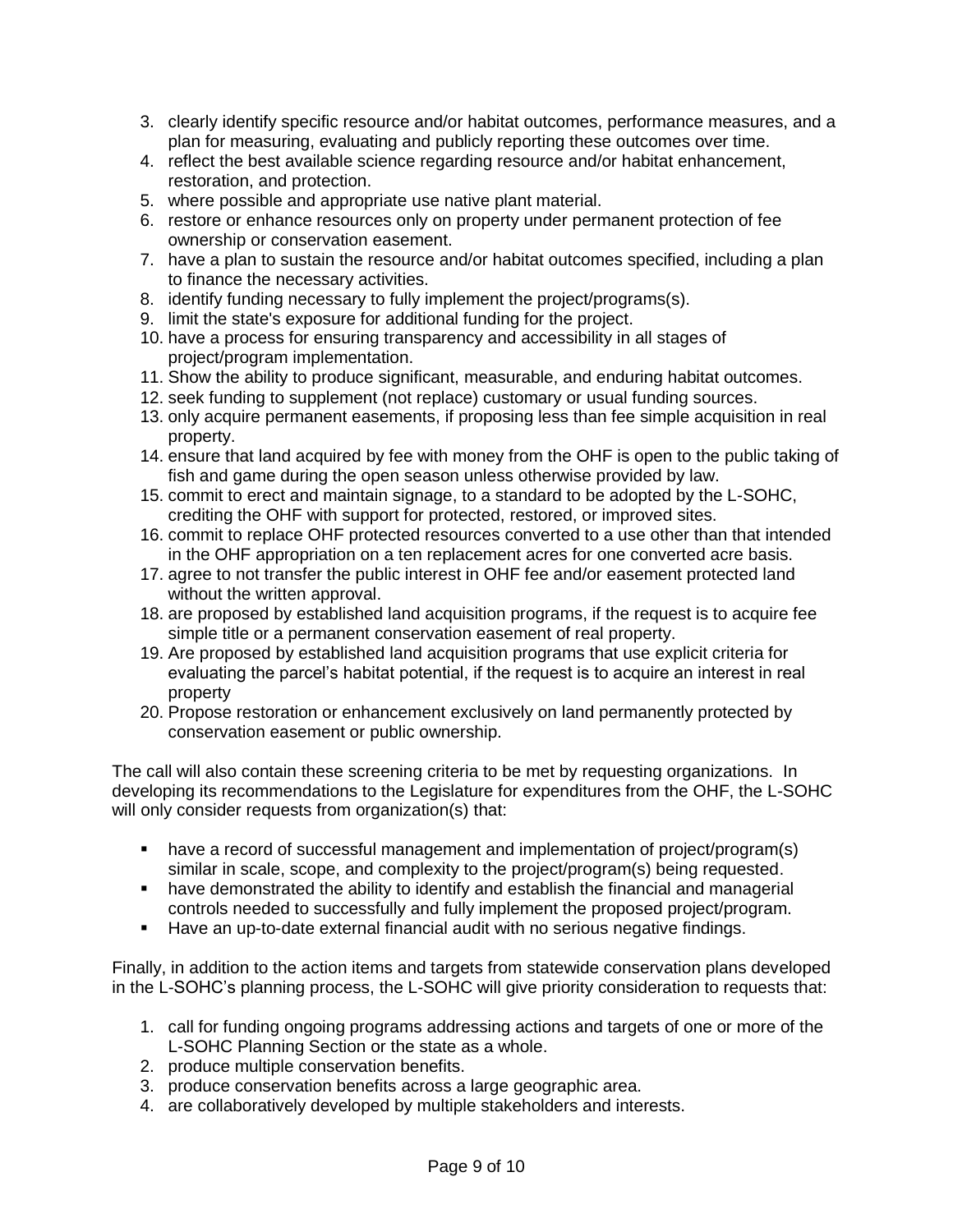- 3. clearly identify specific resource and/or habitat outcomes, performance measures, and a plan for measuring, evaluating and publicly reporting these outcomes over time.
- 4. reflect the best available science regarding resource and/or habitat enhancement, restoration, and protection.
- 5. where possible and appropriate use native plant material.
- 6. restore or enhance resources only on property under permanent protection of fee ownership or conservation easement.
- 7. have a plan to sustain the resource and/or habitat outcomes specified, including a plan to finance the necessary activities.
- 8. identify funding necessary to fully implement the project/programs(s).
- 9. limit the state's exposure for additional funding for the project.
- 10. have a process for ensuring transparency and accessibility in all stages of project/program implementation.
- 11. Show the ability to produce significant, measurable, and enduring habitat outcomes.
- 12. seek funding to supplement (not replace) customary or usual funding sources.
- 13. only acquire permanent easements, if proposing less than fee simple acquisition in real property.
- 14. ensure that land acquired by fee with money from the OHF is open to the public taking of fish and game during the open season unless otherwise provided by law.
- 15. commit to erect and maintain signage, to a standard to be adopted by the L-SOHC, crediting the OHF with support for protected, restored, or improved sites.
- 16. commit to replace OHF protected resources converted to a use other than that intended in the OHF appropriation on a ten replacement acres for one converted acre basis.
- 17. agree to not transfer the public interest in OHF fee and/or easement protected land without the written approval.
- 18. are proposed by established land acquisition programs, if the request is to acquire fee simple title or a permanent conservation easement of real property.
- 19. Are proposed by established land acquisition programs that use explicit criteria for evaluating the parcel's habitat potential, if the request is to acquire an interest in real property
- 20. Propose restoration or enhancement exclusively on land permanently protected by conservation easement or public ownership.

The call will also contain these screening criteria to be met by requesting organizations. In developing its recommendations to the Legislature for expenditures from the OHF, the L-SOHC will only consider requests from organization(s) that:

- have a record of successful management and implementation of project/program(s) similar in scale, scope, and complexity to the project/program(s) being requested.
- have demonstrated the ability to identify and establish the financial and managerial controls needed to successfully and fully implement the proposed project/program.
- Have an up-to-date external financial audit with no serious negative findings.

Finally, in addition to the action items and targets from statewide conservation plans developed in the L-SOHC's planning process, the L-SOHC will give priority consideration to requests that:

- 1. call for funding ongoing programs addressing actions and targets of one or more of the L-SOHC Planning Section or the state as a whole.
- 2. produce multiple conservation benefits.
- 3. produce conservation benefits across a large geographic area.
- 4. are collaboratively developed by multiple stakeholders and interests.